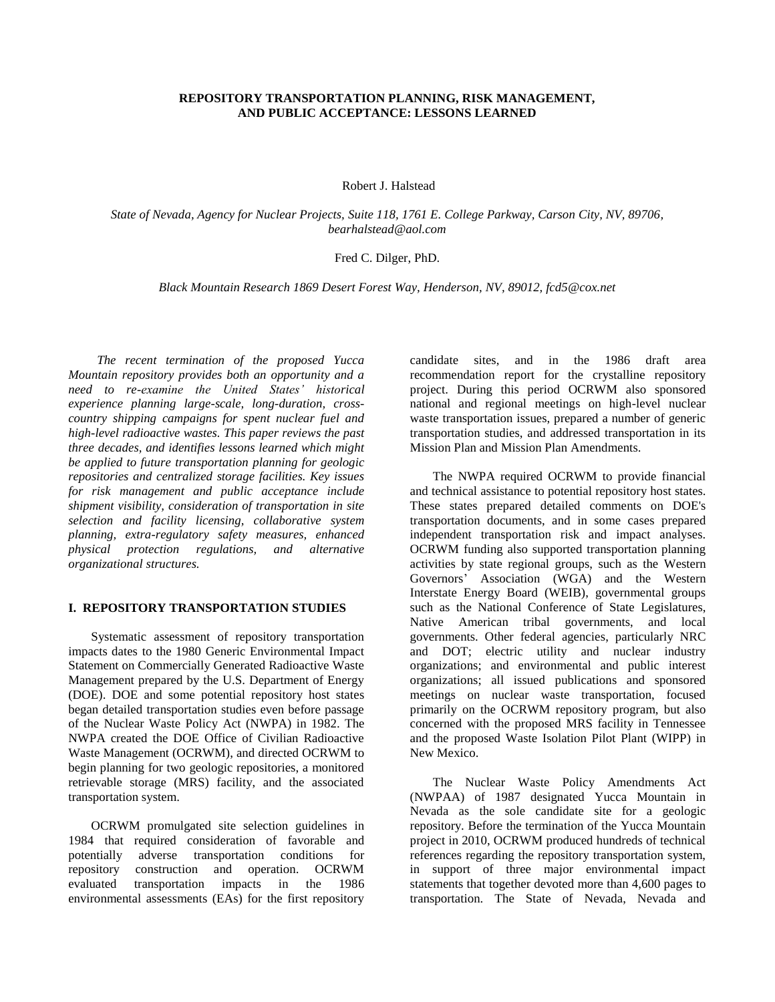# **REPOSITORY TRANSPORTATION PLANNING, RISK MANAGEMENT, AND PUBLIC ACCEPTANCE: LESSONS LEARNED**

Robert J. Halstead

*State of Nevada, Agency for Nuclear Projects, Suite 118, 1761 E. College Parkway, Carson City, NV, 89706, bearhalstead@aol.com*

# Fred C. Dilger, PhD.

*Black Mountain Research 1869 Desert Forest Way, Henderson, NV, 89012, fcd5@cox.net* 

 *The recent termination of the proposed Yucca Mountain repository provides both an opportunity and a need to re-examine the United States' historical experience planning large-scale, long-duration, crosscountry shipping campaigns for spent nuclear fuel and high-level radioactive wastes. This paper reviews the past three decades, and identifies lessons learned which might be applied to future transportation planning for geologic repositories and centralized storage facilities. Key issues for risk management and public acceptance include shipment visibility, consideration of transportation in site selection and facility licensing, collaborative system planning, extra-regulatory safety measures, enhanced physical protection regulations, and alternative organizational structures.* 

### **I. REPOSITORY TRANSPORTATION STUDIES**

Systematic assessment of repository transportation impacts dates to the 1980 Generic Environmental Impact Statement on Commercially Generated Radioactive Waste Management prepared by the U.S. Department of Energy (DOE). DOE and some potential repository host states began detailed transportation studies even before passage of the Nuclear Waste Policy Act (NWPA) in 1982. The NWPA created the DOE Office of Civilian Radioactive Waste Management (OCRWM), and directed OCRWM to begin planning for two geologic repositories, a monitored retrievable storage (MRS) facility, and the associated transportation system.

OCRWM promulgated site selection guidelines in 1984 that required consideration of favorable and potentially adverse transportation conditions for repository construction and operation. OCRWM evaluated transportation impacts in the 1986 environmental assessments (EAs) for the first repository candidate sites, and in the 1986 draft area recommendation report for the crystalline repository project. During this period OCRWM also sponsored national and regional meetings on high-level nuclear waste transportation issues, prepared a number of generic transportation studies, and addressed transportation in its Mission Plan and Mission Plan Amendments.

The NWPA required OCRWM to provide financial and technical assistance to potential repository host states. These states prepared detailed comments on DOE's transportation documents, and in some cases prepared independent transportation risk and impact analyses. OCRWM funding also supported transportation planning activities by state regional groups, such as the Western Governors' Association (WGA) and the Western Interstate Energy Board (WEIB), governmental groups such as the National Conference of State Legislatures, Native American tribal governments, and local governments. Other federal agencies, particularly NRC and DOT; electric utility and nuclear industry organizations; and environmental and public interest organizations; all issued publications and sponsored meetings on nuclear waste transportation, focused primarily on the OCRWM repository program, but also concerned with the proposed MRS facility in Tennessee and the proposed Waste Isolation Pilot Plant (WIPP) in New Mexico.

The Nuclear Waste Policy Amendments Act (NWPAA) of 1987 designated Yucca Mountain in Nevada as the sole candidate site for a geologic repository. Before the termination of the Yucca Mountain project in 2010, OCRWM produced hundreds of technical references regarding the repository transportation system, in support of three major environmental impact statements that together devoted more than 4,600 pages to transportation. The State of Nevada, Nevada and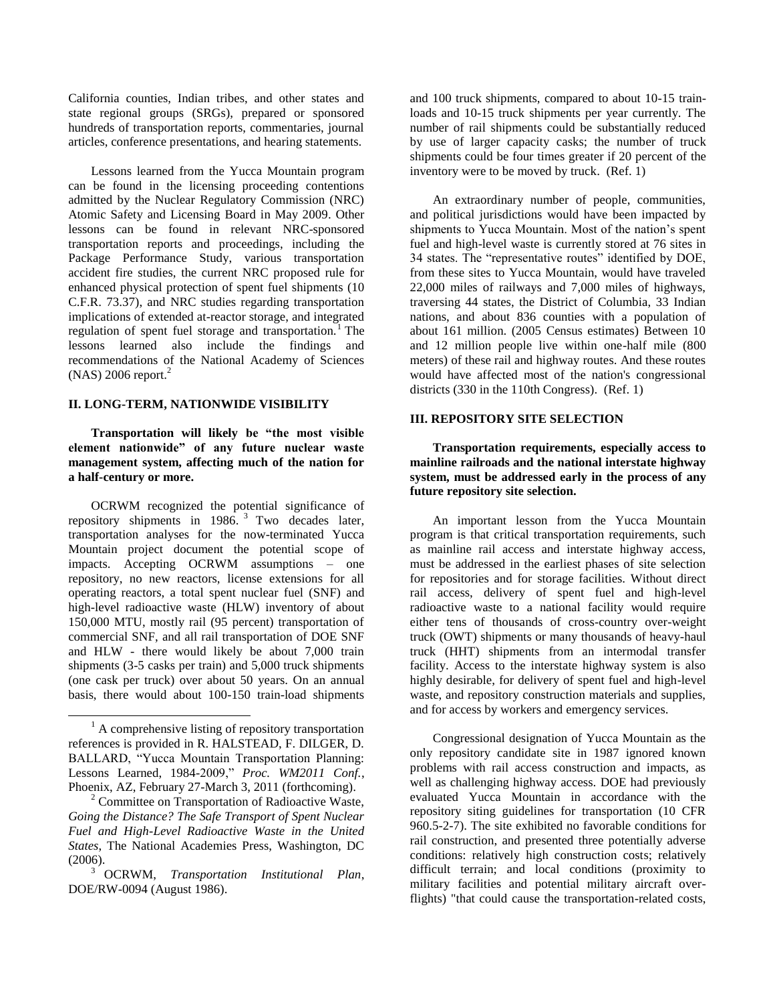California counties, Indian tribes, and other states and state regional groups (SRGs), prepared or sponsored hundreds of transportation reports, commentaries, journal articles, conference presentations, and hearing statements.

Lessons learned from the Yucca Mountain program can be found in the licensing proceeding contentions admitted by the Nuclear Regulatory Commission (NRC) Atomic Safety and Licensing Board in May 2009. Other lessons can be found in relevant NRC-sponsored transportation reports and proceedings, including the Package Performance Study, various transportation accident fire studies, the current NRC proposed rule for enhanced physical protection of spent fuel shipments (10 C.F.R. 73.37), and NRC studies regarding transportation implications of extended at-reactor storage, and integrated regulation of spent fuel storage and transportation.<sup>1</sup> The lessons learned also include the findings and recommendations of the National Academy of Sciences  $(NAS)$  2006 report.<sup>2</sup>

### **II. LONG-TERM, NATIONWIDE VISIBILITY**

**Transportation will likely be "the most visible element nationwide" of any future nuclear waste management system, affecting much of the nation for a half-century or more.**

OCRWM recognized the potential significance of repository shipments in  $1986.$ <sup>3</sup> Two decades later, transportation analyses for the now-terminated Yucca Mountain project document the potential scope of impacts. Accepting OCRWM assumptions – one repository, no new reactors, license extensions for all operating reactors, a total spent nuclear fuel (SNF) and high-level radioactive waste (HLW) inventory of about 150,000 MTU, mostly rail (95 percent) transportation of commercial SNF, and all rail transportation of DOE SNF and HLW - there would likely be about 7,000 train shipments (3-5 casks per train) and 5,000 truck shipments (one cask per truck) over about 50 years. On an annual basis, there would about 100-150 train-load shipments

l

and 100 truck shipments, compared to about 10-15 trainloads and 10-15 truck shipments per year currently. The number of rail shipments could be substantially reduced by use of larger capacity casks; the number of truck shipments could be four times greater if 20 percent of the inventory were to be moved by truck. (Ref. 1)

An extraordinary number of people, communities, and political jurisdictions would have been impacted by shipments to Yucca Mountain. Most of the nation's spent fuel and high-level waste is currently stored at 76 sites in 34 states. The "representative routes" identified by DOE, from these sites to Yucca Mountain, would have traveled 22,000 miles of railways and 7,000 miles of highways, traversing 44 states, the District of Columbia, 33 Indian nations, and about 836 counties with a population of about 161 million. (2005 Census estimates) Between 10 and 12 million people live within one-half mile (800 meters) of these rail and highway routes. And these routes would have affected most of the nation's congressional districts (330 in the 110th Congress). (Ref. 1)

# **III. REPOSITORY SITE SELECTION**

**Transportation requirements, especially access to mainline railroads and the national interstate highway system, must be addressed early in the process of any future repository site selection.** 

An important lesson from the Yucca Mountain program is that critical transportation requirements, such as mainline rail access and interstate highway access, must be addressed in the earliest phases of site selection for repositories and for storage facilities. Without direct rail access, delivery of spent fuel and high-level radioactive waste to a national facility would require either tens of thousands of cross-country over-weight truck (OWT) shipments or many thousands of heavy-haul truck (HHT) shipments from an intermodal transfer facility. Access to the interstate highway system is also highly desirable, for delivery of spent fuel and high-level waste, and repository construction materials and supplies, and for access by workers and emergency services.

Congressional designation of Yucca Mountain as the only repository candidate site in 1987 ignored known problems with rail access construction and impacts, as well as challenging highway access. DOE had previously evaluated Yucca Mountain in accordance with the repository siting guidelines for transportation (10 CFR 960.5-2-7). The site exhibited no favorable conditions for rail construction, and presented three potentially adverse conditions: relatively high construction costs; relatively difficult terrain; and local conditions (proximity to military facilities and potential military aircraft overflights) "that could cause the transportation-related costs,

 $<sup>1</sup>$  A comprehensive listing of repository transportation</sup> references is provided in R. HALSTEAD, F. DILGER, D. BALLARD, "Yucca Mountain Transportation Planning: Lessons Learned, 1984-2009," *Proc. WM2011 Conf.*, Phoenix, AZ, February 27-March 3, 2011 (forthcoming).

<sup>2</sup> Committee on Transportation of Radioactive Waste, *Going the Distance? The Safe Transport of Spent Nuclear Fuel and High-Level Radioactive Waste in the United States*, The National Academies Press, Washington, DC (2006).

<sup>3</sup> OCRWM, *Transportation Institutional Plan*, DOE/RW-0094 (August 1986).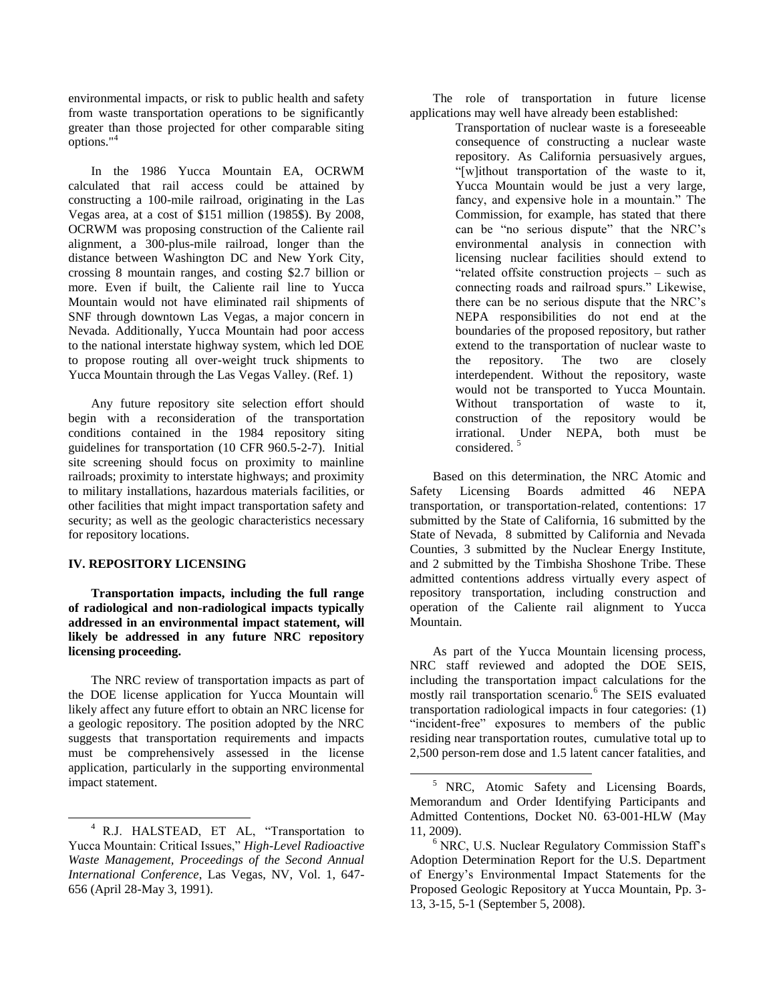environmental impacts, or risk to public health and safety from waste transportation operations to be significantly greater than those projected for other comparable siting options."<sup>4</sup>

In the 1986 Yucca Mountain EA, OCRWM calculated that rail access could be attained by constructing a 100-mile railroad, originating in the Las Vegas area, at a cost of \$151 million (1985\$). By 2008, OCRWM was proposing construction of the Caliente rail alignment, a 300-plus-mile railroad, longer than the distance between Washington DC and New York City, crossing 8 mountain ranges, and costing \$2.7 billion or more. Even if built, the Caliente rail line to Yucca Mountain would not have eliminated rail shipments of SNF through downtown Las Vegas, a major concern in Nevada. Additionally, Yucca Mountain had poor access to the national interstate highway system, which led DOE to propose routing all over-weight truck shipments to Yucca Mountain through the Las Vegas Valley. (Ref. 1)

Any future repository site selection effort should begin with a reconsideration of the transportation conditions contained in the 1984 repository siting guidelines for transportation (10 CFR 960.5-2-7). Initial site screening should focus on proximity to mainline railroads; proximity to interstate highways; and proximity to military installations, hazardous materials facilities, or other facilities that might impact transportation safety and security; as well as the geologic characteristics necessary for repository locations.

### **IV. REPOSITORY LICENSING**

 $\overline{a}$ 

**Transportation impacts, including the full range of radiological and non-radiological impacts typically addressed in an environmental impact statement, will likely be addressed in any future NRC repository licensing proceeding.**

The NRC review of transportation impacts as part of the DOE license application for Yucca Mountain will likely affect any future effort to obtain an NRC license for a geologic repository. The position adopted by the NRC suggests that transportation requirements and impacts must be comprehensively assessed in the license application, particularly in the supporting environmental impact statement.

The role of transportation in future license applications may well have already been established:

Transportation of nuclear waste is a foreseeable consequence of constructing a nuclear waste repository. As California persuasively argues, "[w]ithout transportation of the waste to it, Yucca Mountain would be just a very large, fancy, and expensive hole in a mountain." The Commission, for example, has stated that there can be "no serious dispute" that the NRC's environmental analysis in connection with licensing nuclear facilities should extend to "related offsite construction projects – such as connecting roads and railroad spurs." Likewise, there can be no serious dispute that the NRC's NEPA responsibilities do not end at the boundaries of the proposed repository, but rather extend to the transportation of nuclear waste to the repository. The two are closely interdependent. Without the repository, waste would not be transported to Yucca Mountain. Without transportation of waste to it, construction of the repository would be irrational. Under NEPA, both must be considered.<sup>5</sup>

Based on this determination, the NRC Atomic and Safety Licensing Boards admitted 46 NEPA transportation, or transportation-related, contentions: 17 submitted by the State of California, 16 submitted by the State of Nevada, 8 submitted by California and Nevada Counties, 3 submitted by the Nuclear Energy Institute, and 2 submitted by the Timbisha Shoshone Tribe. These admitted contentions address virtually every aspect of repository transportation, including construction and operation of the Caliente rail alignment to Yucca Mountain.

As part of the Yucca Mountain licensing process, NRC staff reviewed and adopted the DOE SEIS, including the transportation impact calculations for the mostly rail transportation scenario.<sup>6</sup> The SEIS evaluated transportation radiological impacts in four categories: (1) "incident-free" exposures to members of the public residing near transportation routes, cumulative total up to 2,500 person-rem dose and 1.5 latent cancer fatalities, and

l

<sup>4</sup> R.J. HALSTEAD, ET AL, "Transportation to Yucca Mountain: Critical Issues," *High-Level Radioactive Waste Management, Proceedings of the Second Annual International Conference*, Las Vegas, NV, Vol. 1, 647- 656 (April 28-May 3, 1991).

<sup>5</sup> NRC, Atomic Safety and Licensing Boards, Memorandum and Order Identifying Participants and Admitted Contentions, Docket N0. 63-001-HLW (May 11, 2009).

<sup>&</sup>lt;sup>6</sup> NRC, U.S. Nuclear Regulatory Commission Staff's Adoption Determination Report for the U.S. Department of Energy's Environmental Impact Statements for the Proposed Geologic Repository at Yucca Mountain, Pp. 3- 13, 3-15, 5-1 (September 5, 2008).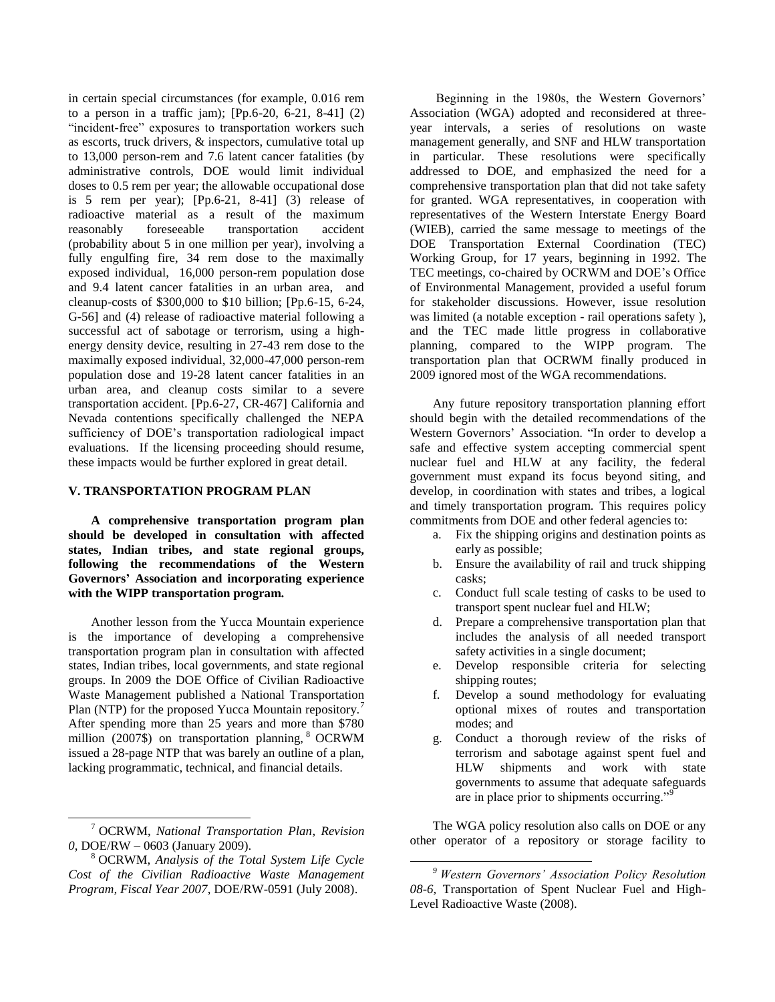in certain special circumstances (for example, 0.016 rem to a person in a traffic jam); [Pp.6-20, 6-21, 8-41] (2) "incident-free" exposures to transportation workers such as escorts, truck drivers, & inspectors, cumulative total up to 13,000 person-rem and 7.6 latent cancer fatalities (by administrative controls, DOE would limit individual doses to 0.5 rem per year; the allowable occupational dose is 5 rem per year); [Pp.6-21, 8-41] (3) release of radioactive material as a result of the maximum reasonably foreseeable transportation accident (probability about 5 in one million per year), involving a fully engulfing fire, 34 rem dose to the maximally exposed individual, 16,000 person-rem population dose and 9.4 latent cancer fatalities in an urban area, and cleanup-costs of \$300,000 to \$10 billion; [Pp.6-15, 6-24, G-56] and (4) release of radioactive material following a successful act of sabotage or terrorism, using a highenergy density device, resulting in 27-43 rem dose to the maximally exposed individual, 32,000-47,000 person-rem population dose and 19-28 latent cancer fatalities in an urban area, and cleanup costs similar to a severe transportation accident. [Pp.6-27, CR-467] California and Nevada contentions specifically challenged the NEPA sufficiency of DOE's transportation radiological impact evaluations. If the licensing proceeding should resume, these impacts would be further explored in great detail.

#### **V. TRANSPORTATION PROGRAM PLAN**

**A comprehensive transportation program plan should be developed in consultation with affected states, Indian tribes, and state regional groups, following the recommendations of the Western Governors' Association and incorporating experience with the WIPP transportation program.** 

Another lesson from the Yucca Mountain experience is the importance of developing a comprehensive transportation program plan in consultation with affected states, Indian tribes, local governments, and state regional groups. In 2009 the DOE Office of Civilian Radioactive Waste Management published a National Transportation Plan (NTP) for the proposed Yucca Mountain repository.<sup>7</sup> After spending more than 25 years and more than \$780 million (2007\$) on transportation planning, <sup>8</sup> OCRWM issued a 28-page NTP that was barely an outline of a plan, lacking programmatic, technical, and financial details.

 $\overline{a}$ 

Beginning in the 1980s, the Western Governors' Association (WGA) adopted and reconsidered at threeyear intervals, a series of resolutions on waste management generally, and SNF and HLW transportation in particular. These resolutions were specifically addressed to DOE, and emphasized the need for a comprehensive transportation plan that did not take safety for granted. WGA representatives, in cooperation with representatives of the Western Interstate Energy Board (WIEB), carried the same message to meetings of the DOE Transportation External Coordination (TEC) Working Group, for 17 years, beginning in 1992. The TEC meetings, co-chaired by OCRWM and DOE's Office of Environmental Management, provided a useful forum for stakeholder discussions. However, issue resolution was limited (a notable exception - rail operations safety ), and the TEC made little progress in collaborative planning, compared to the WIPP program. The transportation plan that OCRWM finally produced in 2009 ignored most of the WGA recommendations.

Any future repository transportation planning effort should begin with the detailed recommendations of the Western Governors' Association. "In order to develop a safe and effective system accepting commercial spent nuclear fuel and HLW at any facility, the federal government must expand its focus beyond siting, and develop, in coordination with states and tribes, a logical and timely transportation program. This requires policy commitments from DOE and other federal agencies to:

- a. Fix the shipping origins and destination points as early as possible;
- b. Ensure the availability of rail and truck shipping casks;
- c. Conduct full scale testing of casks to be used to transport spent nuclear fuel and HLW;
- d. Prepare a comprehensive transportation plan that includes the analysis of all needed transport safety activities in a single document;
- e. Develop responsible criteria for selecting shipping routes;
- f. Develop a sound methodology for evaluating optional mixes of routes and transportation modes; and
- g. Conduct a thorough review of the risks of terrorism and sabotage against spent fuel and HLW shipments and work with state governments to assume that adequate safeguards are in place prior to shipments occurring."

The WGA policy resolution also calls on DOE or any other operator of a repository or storage facility to

l

<sup>7</sup> OCRWM, *National Transportation Plan*, *Revision 0*, DOE/RW – 0603 (January 2009).

<sup>8</sup> OCRWM, *Analysis of the Total System Life Cycle Cost of the Civilian Radioactive Waste Management Program, Fiscal Year 2007*, DOE/RW-0591 (July 2008).

*<sup>9</sup> Western Governors' Association Policy Resolution 08-6,* Transportation of Spent Nuclear Fuel and High-Level Radioactive Waste (2008).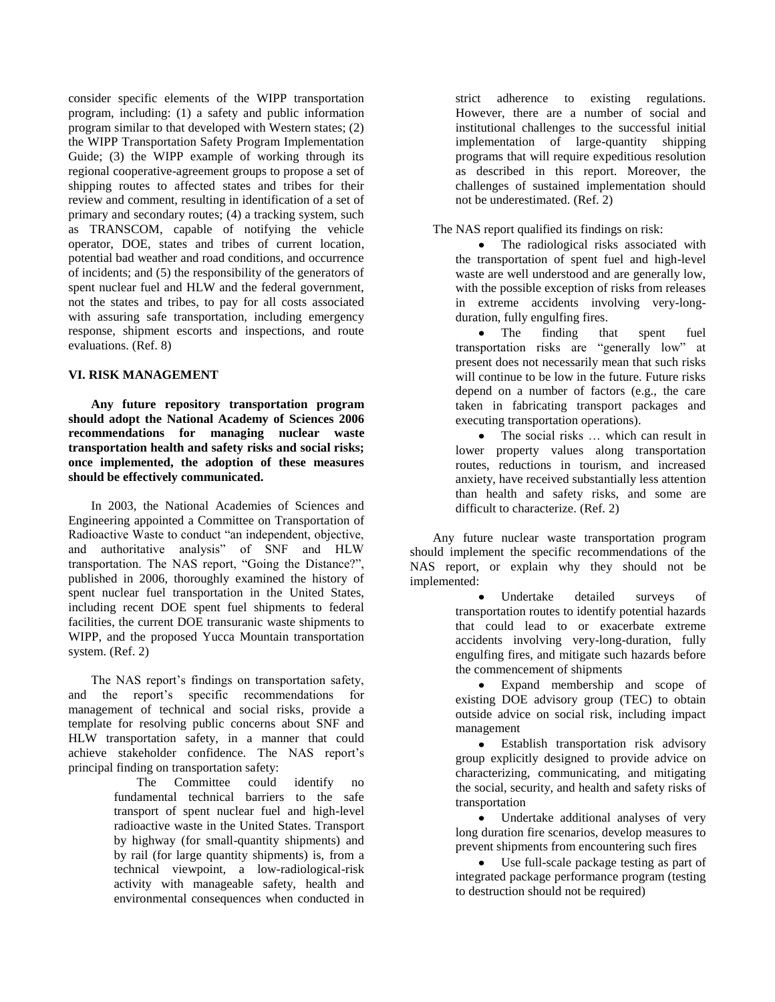consider specific elements of the WIPP transportation program, including: (1) a safety and public information program similar to that developed with Western states; (2) the WIPP Transportation Safety Program Implementation Guide; (3) the WIPP example of working through its regional cooperative-agreement groups to propose a set of shipping routes to affected states and tribes for their review and comment, resulting in identification of a set of primary and secondary routes; (4) a tracking system, such as TRANSCOM, capable of notifying the vehicle operator, DOE, states and tribes of current location, potential bad weather and road conditions, and occurrence of incidents; and (5) the responsibility of the generators of spent nuclear fuel and HLW and the federal government, not the states and tribes, to pay for all costs associated with assuring safe transportation, including emergency response, shipment escorts and inspections, and route evaluations. (Ref. 8)

# **VI. RISK MANAGEMENT**

**Any future repository transportation program should adopt the National Academy of Sciences 2006 recommendations for managing nuclear waste transportation health and safety risks and social risks; once implemented, the adoption of these measures should be effectively communicated.**

In 2003, the National Academies of Sciences and Engineering appointed a Committee on Transportation of Radioactive Waste to conduct "an independent, objective, and authoritative analysis" of SNF and HLW transportation. The NAS report, "Going the Distance?", published in 2006, thoroughly examined the history of spent nuclear fuel transportation in the United States, including recent DOE spent fuel shipments to federal facilities, the current DOE transuranic waste shipments to WIPP, and the proposed Yucca Mountain transportation system. (Ref. 2)

The NAS report's findings on transportation safety, and the report's specific recommendations for management of technical and social risks, provide a template for resolving public concerns about SNF and HLW transportation safety, in a manner that could achieve stakeholder confidence. The NAS report's principal finding on transportation safety:

> The Committee could identify no fundamental technical barriers to the safe transport of spent nuclear fuel and high-level radioactive waste in the United States. Transport by highway (for small-quantity shipments) and by rail (for large quantity shipments) is, from a technical viewpoint, a low-radiological-risk activity with manageable safety, health and environmental consequences when conducted in

strict adherence to existing regulations. However, there are a number of social and institutional challenges to the successful initial implementation of large-quantity shipping programs that will require expeditious resolution as described in this report. Moreover, the challenges of sustained implementation should not be underestimated. (Ref. 2)

The NAS report qualified its findings on risk:

• The radiological risks associated with the transportation of spent fuel and high-level waste are well understood and are generally low, with the possible exception of risks from releases in extreme accidents involving very-longduration, fully engulfing fires.

 $\bullet$ The finding that spent fuel transportation risks are "generally low" at present does not necessarily mean that such risks will continue to be low in the future. Future risks depend on a number of factors (e.g., the care taken in fabricating transport packages and executing transportation operations).

The social risks … which can result in  $\bullet$ lower property values along transportation routes, reductions in tourism, and increased anxiety, have received substantially less attention than health and safety risks, and some are difficult to characterize. (Ref. 2)

Any future nuclear waste transportation program should implement the specific recommendations of the NAS report, or explain why they should not be implemented:

> Undertake detailed surveys of transportation routes to identify potential hazards that could lead to or exacerbate extreme accidents involving very-long-duration, fully engulfing fires, and mitigate such hazards before the commencement of shipments

> Expand membership and scope of existing DOE advisory group (TEC) to obtain outside advice on social risk, including impact management

> Establish transportation risk advisory group explicitly designed to provide advice on characterizing, communicating, and mitigating the social, security, and health and safety risks of transportation

> Undertake additional analyses of very long duration fire scenarios, develop measures to prevent shipments from encountering such fires

> Use full-scale package testing as part of integrated package performance program (testing to destruction should not be required)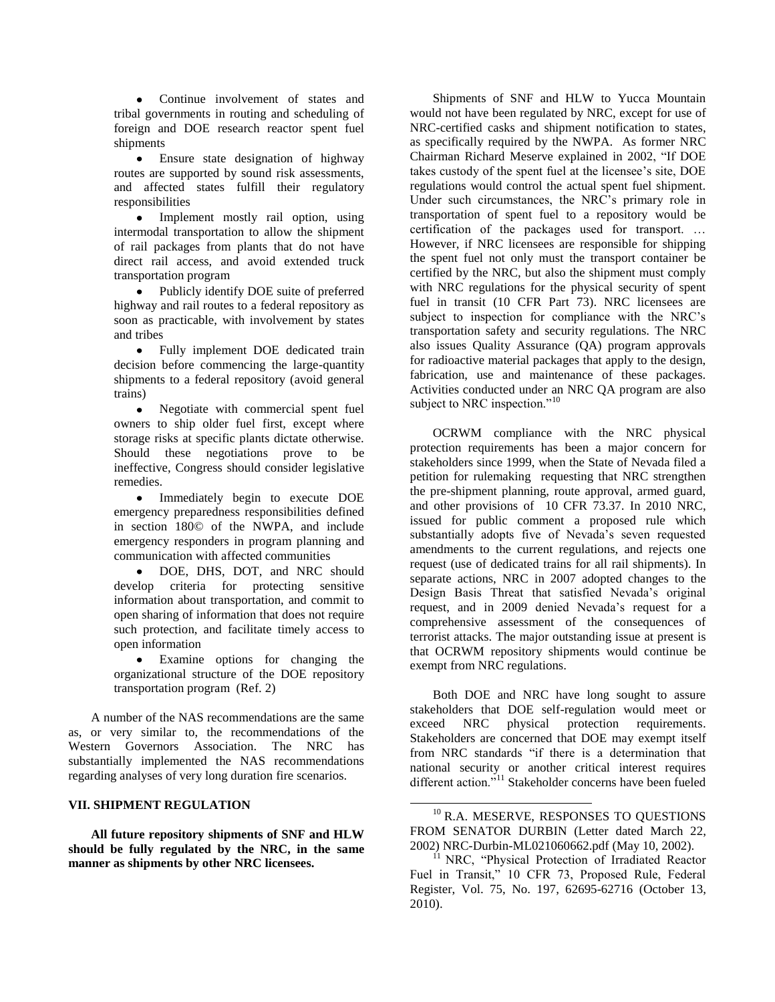Continue involvement of states and tribal governments in routing and scheduling of foreign and DOE research reactor spent fuel shipments

Ensure state designation of highway routes are supported by sound risk assessments, and affected states fulfill their regulatory responsibilities

• Implement mostly rail option, using intermodal transportation to allow the shipment of rail packages from plants that do not have direct rail access, and avoid extended truck transportation program

Publicly identify DOE suite of preferred highway and rail routes to a federal repository as soon as practicable, with involvement by states and tribes

• Fully implement DOE dedicated train decision before commencing the large-quantity shipments to a federal repository (avoid general trains)

Negotiate with commercial spent fuel  $\bullet$ owners to ship older fuel first, except where storage risks at specific plants dictate otherwise. Should these negotiations prove to be ineffective, Congress should consider legislative remedies.

• Immediately begin to execute DOE emergency preparedness responsibilities defined in section 180© of the NWPA, and include emergency responders in program planning and communication with affected communities

DOE, DHS, DOT, and NRC should  $\bullet$ develop criteria for protecting sensitive information about transportation, and commit to open sharing of information that does not require such protection, and facilitate timely access to open information

Examine options for changing the organizational structure of the DOE repository transportation program (Ref. 2)

A number of the NAS recommendations are the same as, or very similar to, the recommendations of the Western Governors Association. The NRC has substantially implemented the NAS recommendations regarding analyses of very long duration fire scenarios.

#### **VII. SHIPMENT REGULATION**

**All future repository shipments of SNF and HLW should be fully regulated by the NRC, in the same manner as shipments by other NRC licensees.**

Shipments of SNF and HLW to Yucca Mountain would not have been regulated by NRC, except for use of NRC-certified casks and shipment notification to states, as specifically required by the NWPA. As former NRC Chairman Richard Meserve explained in 2002, "If DOE takes custody of the spent fuel at the licensee's site, DOE regulations would control the actual spent fuel shipment. Under such circumstances, the NRC's primary role in transportation of spent fuel to a repository would be certification of the packages used for transport. … However, if NRC licensees are responsible for shipping the spent fuel not only must the transport container be certified by the NRC, but also the shipment must comply with NRC regulations for the physical security of spent fuel in transit (10 CFR Part 73). NRC licensees are subject to inspection for compliance with the NRC's transportation safety and security regulations. The NRC also issues Quality Assurance (QA) program approvals for radioactive material packages that apply to the design, fabrication, use and maintenance of these packages. Activities conducted under an NRC QA program are also subject to NRC inspection."<sup>10</sup>

OCRWM compliance with the NRC physical protection requirements has been a major concern for stakeholders since 1999, when the State of Nevada filed a petition for rulemaking requesting that NRC strengthen the pre-shipment planning, route approval, armed guard, and other provisions of 10 CFR 73.37. In 2010 NRC, issued for public comment a proposed rule which substantially adopts five of Nevada's seven requested amendments to the current regulations, and rejects one request (use of dedicated trains for all rail shipments). In separate actions, NRC in 2007 adopted changes to the Design Basis Threat that satisfied Nevada's original request, and in 2009 denied Nevada's request for a comprehensive assessment of the consequences of terrorist attacks. The major outstanding issue at present is that OCRWM repository shipments would continue be exempt from NRC regulations.

Both DOE and NRC have long sought to assure stakeholders that DOE self-regulation would meet or exceed NRC physical protection requirements. Stakeholders are concerned that DOE may exempt itself from NRC standards "if there is a determination that national security or another critical interest requires different action."<sup>11</sup> Stakeholder concerns have been fueled

 $\overline{a}$ 

<sup>&</sup>lt;sup>10</sup> R.A. MESERVE, RESPONSES TO QUESTIONS FROM SENATOR DURBIN (Letter dated March 22, 2002) NRC-Durbin-ML021060662.pdf (May 10, 2002).

<sup>&</sup>lt;sup>11</sup> NRC, "Physical Protection of Irradiated Reactor Fuel in Transit," 10 CFR 73, Proposed Rule, Federal Register, Vol. 75, No. 197, 62695-62716 (October 13, 2010).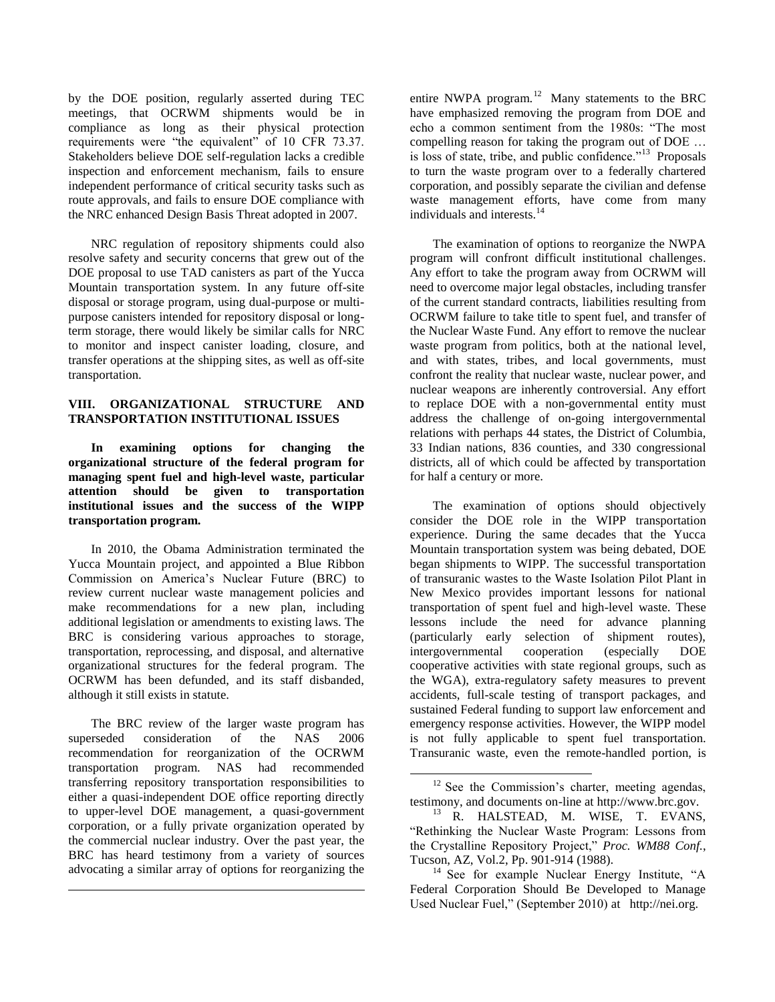by the DOE position, regularly asserted during TEC meetings, that OCRWM shipments would be in compliance as long as their physical protection requirements were "the equivalent" of 10 CFR 73.37. Stakeholders believe DOE self-regulation lacks a credible inspection and enforcement mechanism, fails to ensure independent performance of critical security tasks such as route approvals, and fails to ensure DOE compliance with the NRC enhanced Design Basis Threat adopted in 2007.

NRC regulation of repository shipments could also resolve safety and security concerns that grew out of the DOE proposal to use TAD canisters as part of the Yucca Mountain transportation system. In any future off-site disposal or storage program, using dual-purpose or multipurpose canisters intended for repository disposal or longterm storage, there would likely be similar calls for NRC to monitor and inspect canister loading, closure, and transfer operations at the shipping sites, as well as off-site transportation.

# **VIII. ORGANIZATIONAL STRUCTURE AND TRANSPORTATION INSTITUTIONAL ISSUES**

**In examining options for changing the organizational structure of the federal program for managing spent fuel and high-level waste, particular attention should be given to transportation institutional issues and the success of the WIPP transportation program.**

In 2010, the Obama Administration terminated the Yucca Mountain project, and appointed a Blue Ribbon Commission on America's Nuclear Future (BRC) to review current nuclear waste management policies and make recommendations for a new plan, including additional legislation or amendments to existing laws. The BRC is considering various approaches to storage, transportation, reprocessing, and disposal, and alternative organizational structures for the federal program. The OCRWM has been defunded, and its staff disbanded, although it still exists in statute.

The BRC review of the larger waste program has superseded consideration of the NAS 2006 recommendation for reorganization of the OCRWM transportation program. NAS had recommended transferring repository transportation responsibilities to either a quasi-independent DOE office reporting directly to upper-level DOE management, a quasi-government corporation, or a fully private organization operated by the commercial nuclear industry. Over the past year, the BRC has heard testimony from a variety of sources advocating a similar array of options for reorganizing the

l

entire NWPA program.<sup>12</sup> Many statements to the BRC have emphasized removing the program from DOE and echo a common sentiment from the 1980s: "The most compelling reason for taking the program out of DOE … is loss of state, tribe, and public confidence."<sup>13</sup> Proposals to turn the waste program over to a federally chartered corporation, and possibly separate the civilian and defense waste management efforts, have come from many individuals and interests.<sup>14</sup>

The examination of options to reorganize the NWPA program will confront difficult institutional challenges. Any effort to take the program away from OCRWM will need to overcome major legal obstacles, including transfer of the current standard contracts, liabilities resulting from OCRWM failure to take title to spent fuel, and transfer of the Nuclear Waste Fund. Any effort to remove the nuclear waste program from politics, both at the national level, and with states, tribes, and local governments, must confront the reality that nuclear waste, nuclear power, and nuclear weapons are inherently controversial. Any effort to replace DOE with a non-governmental entity must address the challenge of on-going intergovernmental relations with perhaps 44 states, the District of Columbia, 33 Indian nations, 836 counties, and 330 congressional districts, all of which could be affected by transportation for half a century or more.

The examination of options should objectively consider the DOE role in the WIPP transportation experience. During the same decades that the Yucca Mountain transportation system was being debated, DOE began shipments to WIPP. The successful transportation of transuranic wastes to the Waste Isolation Pilot Plant in New Mexico provides important lessons for national transportation of spent fuel and high-level waste. These lessons include the need for advance planning (particularly early selection of shipment routes), intergovernmental cooperation (especially DOE cooperative activities with state regional groups, such as the WGA), extra-regulatory safety measures to prevent accidents, full-scale testing of transport packages, and sustained Federal funding to support law enforcement and emergency response activities. However, the WIPP model is not fully applicable to spent fuel transportation. Transuranic waste, even the remote-handled portion, is

l

 $12$  See the Commission's charter, meeting agendas, testimony, and documents on-line at http://www.brc.gov.

<sup>&</sup>lt;sup>13</sup> R. HALSTEAD, M. WISE, T. EVANS, "Rethinking the Nuclear Waste Program: Lessons from the Crystalline Repository Project," *Proc. WM88 Conf.*, Tucson, AZ, Vol.2, Pp. 901-914 (1988).

<sup>&</sup>lt;sup>14</sup> See for example Nuclear Energy Institute, "A Federal Corporation Should Be Developed to Manage Used Nuclear Fuel," (September 2010) at http://nei.org.